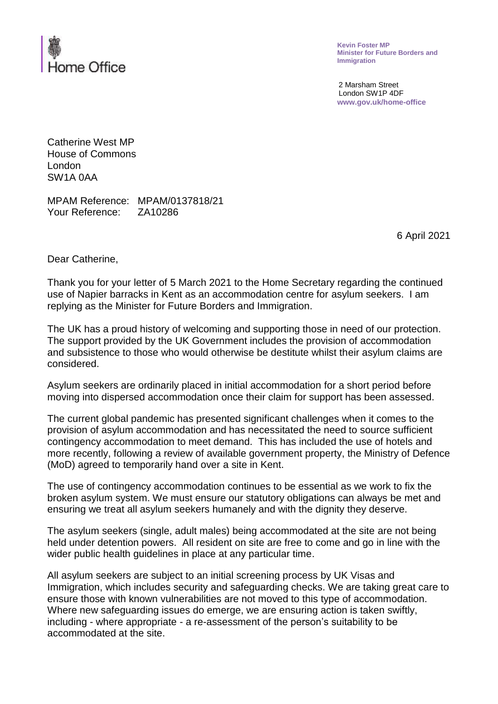

**Kevin Foster MP Minister for Future Borders and Immigration**

2 Marsham Street London SW1P 4DF **www.gov.uk/home-office**

Catherine West MP House of Commons London SW1A 0AA

MPAM Reference: MPAM/0137818/21 Your Reference: ZA10286

6 April 2021

Dear Catherine,

Thank you for your letter of 5 March 2021 to the Home Secretary regarding the continued use of Napier barracks in Kent as an accommodation centre for asylum seekers. I am replying as the Minister for Future Borders and Immigration.

The UK has a proud history of welcoming and supporting those in need of our protection. The support provided by the UK Government includes the provision of accommodation and subsistence to those who would otherwise be destitute whilst their asylum claims are considered.

Asylum seekers are ordinarily placed in initial accommodation for a short period before moving into dispersed accommodation once their claim for support has been assessed.

The current global pandemic has presented significant challenges when it comes to the provision of asylum accommodation and has necessitated the need to source sufficient contingency accommodation to meet demand. This has included the use of hotels and more recently, following a review of available government property, the Ministry of Defence (MoD) agreed to temporarily hand over a site in Kent.

The use of contingency accommodation continues to be essential as we work to fix the broken asylum system. We must ensure our statutory obligations can always be met and ensuring we treat all asylum seekers humanely and with the dignity they deserve.

The asylum seekers (single, adult males) being accommodated at the site are not being held under detention powers. All resident on site are free to come and go in line with the wider public health guidelines in place at any particular time.

All asylum seekers are subject to an initial screening process by UK Visas and Immigration, which includes security and safeguarding checks. We are taking great care to ensure those with known vulnerabilities are not moved to this type of accommodation. Where new safeguarding issues do emerge, we are ensuring action is taken swiftly, including - where appropriate - a re-assessment of the person's suitability to be accommodated at the site.